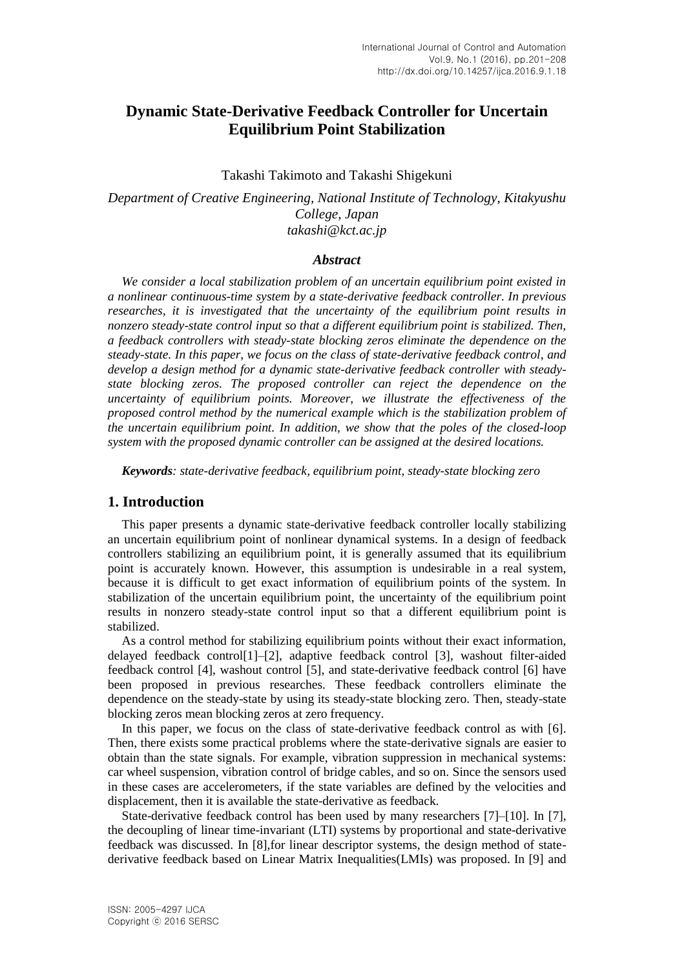# **Dynamic State-Derivative Feedback Controller for Uncertain Equilibrium Point Stabilization**

#### Takashi Takimoto and Takashi Shigekuni

*Department of Creative Engineering, National Institute of Technology, Kitakyushu College, Japan takashi@kct.ac.jp*

## *Abstract*

*We consider a local stabilization problem of an uncertain equilibrium point existed in a nonlinear continuous-time system by a state-derivative feedback controller. In previous researches, it is investigated that the uncertainty of the equilibrium point results in nonzero steady-state control input so that a different equilibrium point is stabilized. Then, a feedback controllers with steady-state blocking zeros eliminate the dependence on the steady-state. In this paper, we focus on the class of state-derivative feedback control, and develop a design method for a dynamic state-derivative feedback controller with steadystate blocking zeros. The proposed controller can reject the dependence on the uncertainty of equilibrium points. Moreover, we illustrate the effectiveness of the proposed control method by the numerical example which is the stabilization problem of the uncertain equilibrium point. In addition, we show that the poles of the closed-loop system with the proposed dynamic controller can be assigned at the desired locations.*

*Keywords: state-derivative feedback, equilibrium point, steady-state blocking zero*

# **1. Introduction**

This paper presents a dynamic state-derivative feedback controller locally stabilizing an uncertain equilibrium point of nonlinear dynamical systems. In a design of feedback controllers stabilizing an equilibrium point, it is generally assumed that its equilibrium point is accurately known. However, this assumption is undesirable in a real system, because it is difficult to get exact information of equilibrium points of the system. In stabilization of the uncertain equilibrium point, the uncertainty of the equilibrium point results in nonzero steady-state control input so that a different equilibrium point is stabilized.

As a control method for stabilizing equilibrium points without their exact information, delayed feedback control[1]–[2], adaptive feedback control [3], washout filter-aided feedback control [4], washout control [5], and state-derivative feedback control [6] have been proposed in previous researches. These feedback controllers eliminate the dependence on the steady-state by using its steady-state blocking zero. Then, steady-state blocking zeros mean blocking zeros at zero frequency.

In this paper, we focus on the class of state-derivative feedback control as with [6]. Then, there exists some practical problems where the state-derivative signals are easier to obtain than the state signals. For example, vibration suppression in mechanical systems: car wheel suspension, vibration control of bridge cables, and so on. Since the sensors used in these cases are accelerometers, if the state variables are defined by the velocities and displacement, then it is available the state-derivative as feedback.

State-derivative feedback control has been used by many researchers [7]–[10]. In [7], the decoupling of linear time-invariant (LTI) systems by proportional and state-derivative feedback was discussed. In [8],for linear descriptor systems, the design method of statederivative feedback based on Linear Matrix Inequalities(LMIs) was proposed. In [9] and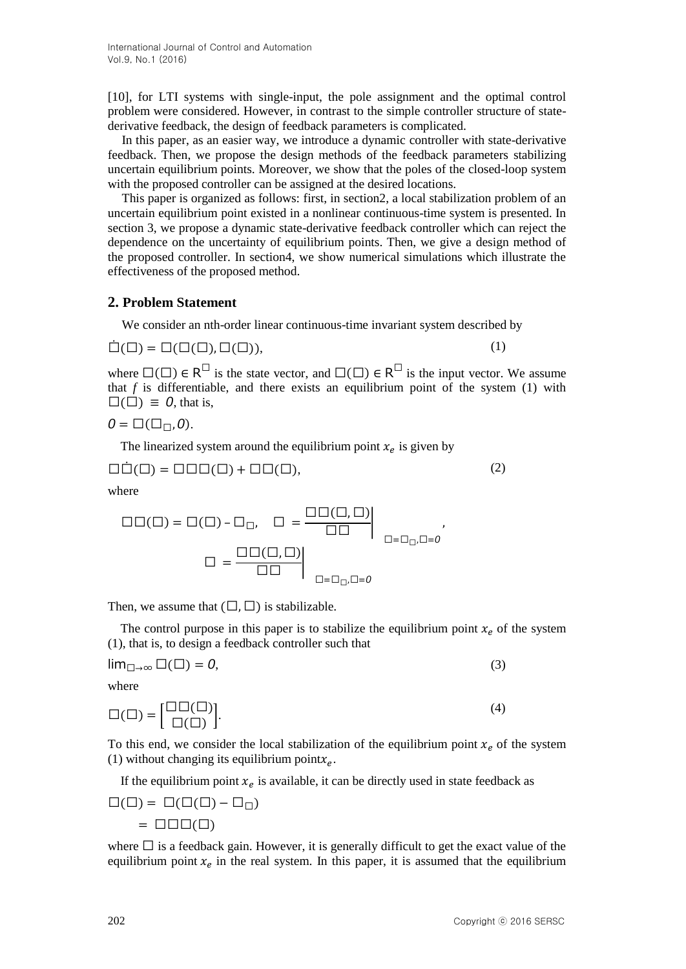International Journal of Control and Automation Vol.9, No.1 (2016)

[10], for LTI systems with single-input, the pole assignment and the optimal control problem were considered. However, in contrast to the simple controller structure of statederivative feedback, the design of feedback parameters is complicated.

In this paper, as an easier way, we introduce a dynamic controller with state-derivative feedback. Then, we propose the design methods of the feedback parameters stabilizing uncertain equilibrium points. Moreover, we show that the poles of the closed-loop system with the proposed controller can be assigned at the desired locations.

This paper is organized as follows: first, in section2, a local stabilization problem of an uncertain equilibrium point existed in a nonlinear continuous-time system is presented. In section 3, we propose a dynamic state-derivative feedback controller which can reject the dependence on the uncertainty of equilibrium points. Then, we give a design method of the proposed controller. In section4, we show numerical simulations which illustrate the effectiveness of the proposed method.

#### **2. Problem Statement**

We consider an nth-order linear continuous-time invariant system described by

$$
\dot{\Box}(\Box) = \Box(\Box(\Box), \Box(\Box)),
$$

where  $\square(\square) \in R^{\square}$  is the state vector, and  $\square(\square) \in R^{\square}$  is the input vector. We assume

that  $f$  is differentiable, and there exists an equilibrium point of the system  $(1)$  with  $\square$ ( $\square$ ) = 0, that is,

$$
0=\square(\square_{\square},0).
$$

The linearized system around the equilibrium point  $x_e$  is given by

$$
\Box \dot{\Box}(\Box) = \Box \Box \Box(\Box) + \Box \Box(\Box), \tag{2}
$$

where

$$
\square\square(\square) = \square(\square) - \square_{\square}, \quad \square = \frac{\square\square(\square,\square)}{\square\square} \Big|_{\square=\square_{\square},\square=0},
$$

$$
\square = \frac{\square\square(\square,\square)}{\square\square} \Big|_{\square=\square_{\square},\square=0}
$$

Then, we assume that  $(\square, \square)$  is stabilizable.

The control purpose in this paper is to stabilize the equilibrium point  $x_e$  of the system (1), that is, to design a feedback controller such that

$$
\lim_{\square \to \infty} \square(\square) = 0,\tag{3}
$$

where

$$
\Box(\Box) = \begin{bmatrix} \Box \Box(\Box) \\ \Box(\Box) \end{bmatrix} . \tag{4}
$$

To this end, we consider the local stabilization of the equilibrium point  $x_e$  of the system (1) without changing its equilibrium point $x_e$ .

If the equilibrium point  $x_e$  is available, it can be directly used in state feedback as

$$
\Box(\Box) = \Box(\Box(\Box) - \Box_{\Box})
$$

$$
= \Box \Box \Box(\Box)
$$

where  $\Box$  is a feedback gain. However, it is generally difficult to get the exact value of the equilibrium point  $x_e$  in the real system. In this paper, it is assumed that the equilibrium

(1)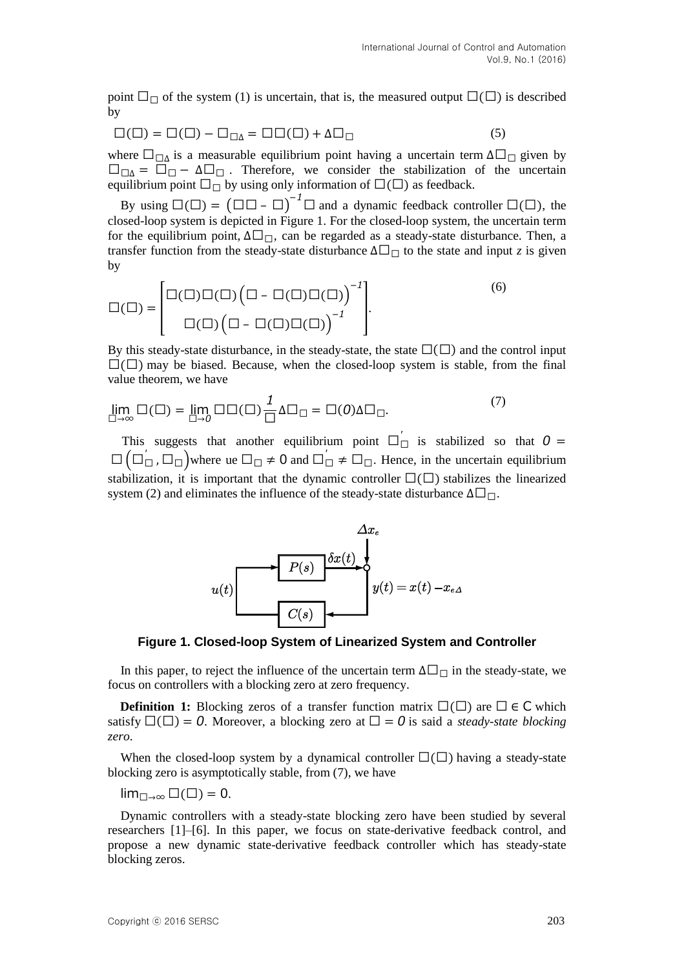point  $\Box_{\Box}$  of the system (1) is uncertain, that is, the measured output  $\Box(\Box)$  is described by

$$
\Box(\Box) = \Box(\Box) - \Box_{\Box\Delta} = \Box\Box(\Box) + \Delta\Box_{\Box} \tag{5}
$$

where  $\Box_{\Box \Delta}$  is a measurable equilibrium point having a uncertain term  $\Delta \Box_{\Box}$  given by  $\square_{\square\Delta} = \square_{\square} - \Delta\square_{\square}$ . Therefore, we consider the stabilization of the uncertain equilibrium point  $\square_{\square}$  by using only information of  $\square(\square)$  as feedback.

By using  $\square(\square) = (\square \square - \square)^{-1} \square$  and a dynamic feedback controller  $\square(\square)$ , the closed-loop system is depicted in Figure 1. For the closed-loop system, the uncertain term for the equilibrium point,  $\Delta \Box_{\Box}$ , can be regarded as a steady-state disturbance. Then, a transfer function from the steady-state disturbance  $\Delta \Box_{\Box}$  to the state and input *z* is given by

$$
\square(\square) = \begin{bmatrix} \square(\square)\square(\square) \left(\square - \square(\square)\square(\square)\right)^{-1} \\ \square(\square) \left(\square - \square(\square)\square(\square)\right)^{-1} \end{bmatrix} .
$$
\n
$$
(6)
$$

By this steady-state disturbance, in the steady-state, the state  $\square(\square)$  and the control input  $\Box$   $\Box$ ) may be biased. Because, when the closed-loop system is stable, from the final value theorem, we have

$$
\lim_{\square \to \infty} \square(\square) = \lim_{\square \to 0} \square \square(\square) \frac{1}{\square} \Delta \square_{\square} = \square(0) \Delta \square_{\square}.
$$
 (7)

This suggests that another equilibrium point  $\square_{\square}^{'}$  is stabilized so that  $\square$   $\square_{\square}$ ,  $\square_{\square}$ )where ue  $\square_{\square} \neq 0$  and  $\square_{\square}' \neq \square_{\square}$ . Hence, in the uncertain equilibrium stabilization, it is important that the dynamic controller  $\square(\square)$  stabilizes the linearized system (2) and eliminates the influence of the steady-state disturbance  $\Delta \Box_{\Box}$ .



**Figure 1. Closed-loop System of Linearized System and Controller**

In this paper, to reject the influence of the uncertain term  $\Delta \Box_{\Box}$  in the steady-state, we focus on controllers with a blocking zero at zero frequency.

**Definition 1:** Blocking zeros of a transfer function matrix  $\square(\square)$  are  $\square \in \mathsf{C}$  which satisfy  $\square(\square) = 0$ . Moreover, a blocking zero at  $\square = 0$  is said a *steady-state blocking zero*.

When the closed-loop system by a dynamical controller  $\square(\square)$  having a steady-state blocking zero is asymptotically stable, from (7), we have

 $\lim_{\square\to\infty}\square(\square)=0.$ 

Dynamic controllers with a steady-state blocking zero have been studied by several researchers [1]–[6]. In this paper, we focus on state-derivative feedback control, and propose a new dynamic state-derivative feedback controller which has steady-state blocking zeros.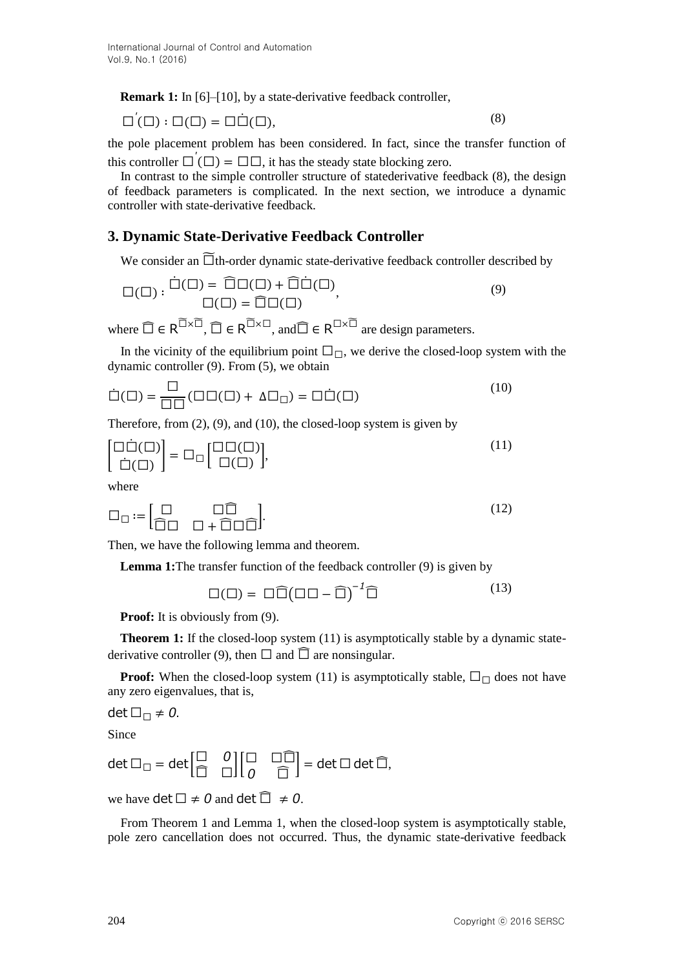**Remark 1:** In [6]–[10], by a state-derivative feedback controller,

$$
\Box'(\Box) : \Box(\Box) = \Box \dot{\Box}(\Box), \tag{8}
$$

the pole placement problem has been considered. In fact, since the transfer function of this controller  $\Box'(\Box) = \Box \Box$ , it has the steady state blocking zero.

In contrast to the simple controller structure of statederivative feedback (8), the design of feedback parameters is complicated. In the next section, we introduce a dynamic controller with state-derivative feedback.

# **3. Dynamic State-Derivative Feedback Controller**

We consider an  $\overline{\Box}$ th-order dynamic state-derivative feedback controller described by

$$
\Box(\Box) : \dot{\Box}(\Box) = \widehat{\Box} \Box(\Box) + \widehat{\Box} \dot{\Box}(\Box),
$$
  

$$
\Box(\Box) = \widehat{\Box} \Box(\Box),
$$
  
(9)

where  $\widehat{\Box} \in R^{\widetilde{\Box} \times \widetilde{\Box}}$ ,  $\widehat{\Box} \in R^{\widetilde{\Box} \times \Box}$ , and  $\widehat{\Box} \in R^{\Box \times \widetilde{\Box}}$  are design parameters.

In the vicinity of the equilibrium point  $\Box_{\Box}$ , we derive the closed-loop system with the dynamic controller (9). From (5), we obtain

$$
\dot{\Box}(\Box) = \frac{\Box}{\Box \Box} (\Box \Box (\Box) + \Delta \Box_{\Box}) = \Box \dot{\Box}(\Box)
$$
\n(10)

Therefore, from (2), (9), and (10), the closed-loop system is given by

$$
\begin{bmatrix} \Box \dot{\Box}(\Box) \\ \dot{\Box}(\Box) \end{bmatrix} = \Box_{\Box} \begin{bmatrix} \Box \Box(\Box) \\ \Box(\Box) \end{bmatrix}, \tag{11}
$$

where

$$
\Box_{\Box} := \begin{bmatrix} \Box & \Box \bar{\Box} \\ \widehat{\Box} \Box & \Box + \widehat{\Box} \Box \widehat{\Box} \end{bmatrix} . \tag{12}
$$

Then, we have the following lemma and theorem.

**Lemma 1:**The transfer function of the feedback controller (9) is given by

$$
\Box(\Box) = \Box \widehat{\Box} (\Box \Box - \widehat{\Box})^{-1} \widehat{\Box} \tag{13}
$$

**Proof:** It is obviously from  $(9)$ .

**Theorem 1:** If the closed-loop system (11) is asymptotically stable by a dynamic statederivative controller (9), then  $\Box$  and  $\widehat{\Box}$  are nonsingular.

**Proof:** When the closed-loop system (11) is asymptotically stable,  $\Box_{\Box}$  does not have any zero eigenvalues, that is,

 $\det \Box_{\Box} \neq 0.$ 

Since

$$
\det \Box_{\Box} = \det \begin{bmatrix} \Box & 0 \\ \widehat{\Box} & \Box \end{bmatrix} \begin{bmatrix} \Box & \Box \widehat{\Box} \\ 0 & \widehat{\Box} \end{bmatrix} = \det \Box \det \widehat{\Box},
$$

we have det  $\square \neq 0$  and det  $\widehat{\square} \neq 0$ .

From Theorem 1 and Lemma 1, when the closed-loop system is asymptotically stable, pole zero cancellation does not occurred. Thus, the dynamic state-derivative feedback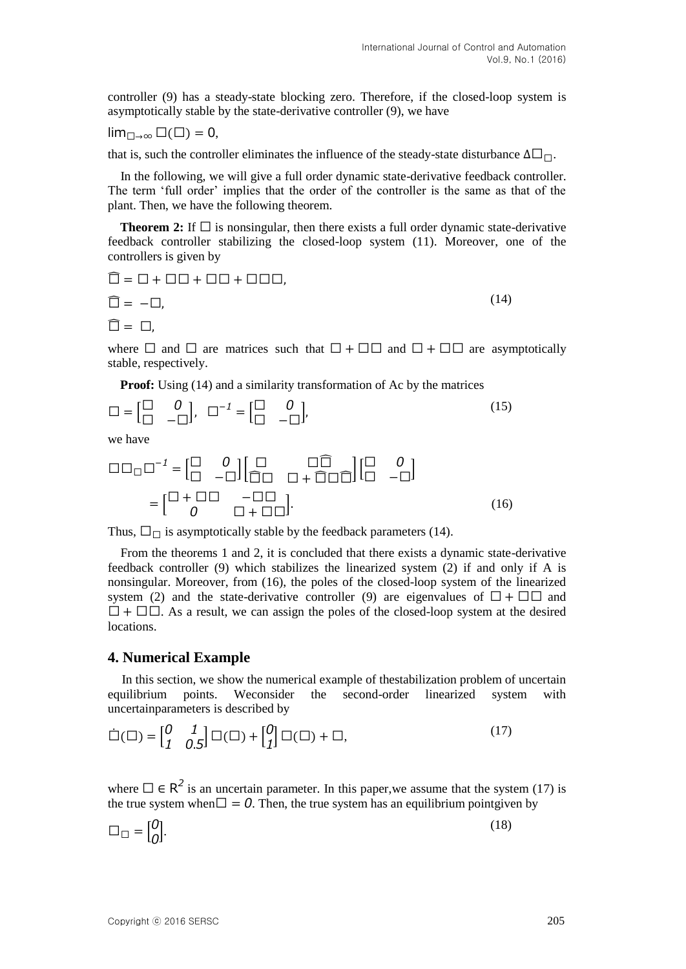controller (9) has a steady-state blocking zero. Therefore, if the closed-loop system is asymptotically stable by the state-derivative controller (9), we have

$$
lim_{\square \to \infty} \square(\square) = 0,
$$

that is, such the controller eliminates the influence of the steady-state disturbance  $\Delta \Box_{\Box}$ .

In the following, we will give a full order dynamic state-derivative feedback controller. The term "full order" implies that the order of the controller is the same as that of the plant. Then, we have the following theorem.

**Theorem 2:** If  $\square$  is nonsingular, then there exists a full order dynamic state-derivative feedback controller stabilizing the closed-loop system (11). Moreover, one of the controllers is given by

$$
\begin{aligned}\n\widehat{\Box} &= \Box + \Box \Box + \Box \Box + \Box \Box \Box, \\
\widehat{\Box} &= -\Box, \\
\widehat{\Box} &= \Box,\n\end{aligned} \tag{14}
$$

where  $\Box$  and  $\Box$  are matrices such that  $\Box + \Box \Box$  and  $\Box + \Box \Box$  are asymptotically stable, respectively.

**Proof:** Using (14) and a similarity transformation of Ac by the matrices

$$
\Box = \begin{bmatrix} \Box & 0 \\ \Box & -\Box \end{bmatrix}, \quad \Box^{-1} = \begin{bmatrix} \Box & 0 \\ \Box & -\Box \end{bmatrix}, \tag{15}
$$

we have

$$
\Box \Box_{\Box} \Box^{-1} = \begin{bmatrix} \Box & 0 \\ \Box & -\Box \end{bmatrix} \begin{bmatrix} \Box & \Box \widehat{\Box} \\ \widehat{\Box} \Box & \Box + \widehat{\Box} \Box \widehat{\Box} \end{bmatrix} \begin{bmatrix} \Box & 0 \\ \Box & -\Box \end{bmatrix}
$$

$$
= \begin{bmatrix} \Box + \Box \Box & -\Box \Box \\ 0 & \Box + \Box \Box \end{bmatrix} . \tag{16}
$$

Thus,  $\square_{\square}$  is asymptotically stable by the feedback parameters (14).

From the theorems 1 and 2, it is concluded that there exists a dynamic state-derivative feedback controller (9) which stabilizes the linearized system (2) if and only if A is nonsingular. Moreover, from (16), the poles of the closed-loop system of the linearized system (2) and the state-derivative controller (9) are eigenvalues of  $\Box$  +  $\Box$  $\Box$  and  $\Box$  +  $\Box$  $\Box$ . As a result, we can assign the poles of the closed-loop system at the desired locations.

## **4. Numerical Example**

In this section, we show the numerical example of thestabilization problem of uncertain equilibrium points. Weconsider the second-order linearized system with uncertainparameters is described by

$$
\dot{\Box}(\Box) = \begin{bmatrix} 0 & 1 \\ 1 & 0.5 \end{bmatrix} \Box(\Box) + \begin{bmatrix} 0 \\ 1 \end{bmatrix} \Box(\Box) + \Box, \tag{17}
$$

where  $\Box \in \mathbb{R}^2$  is an uncertain parameter. In this paper, we assume that the system (17) is the true system when  $\Box = 0$ . Then, the true system has an equilibrium pointgiven by

$$
\Box_{\Box} = \begin{bmatrix} 0 \\ 0 \end{bmatrix} . \tag{18}
$$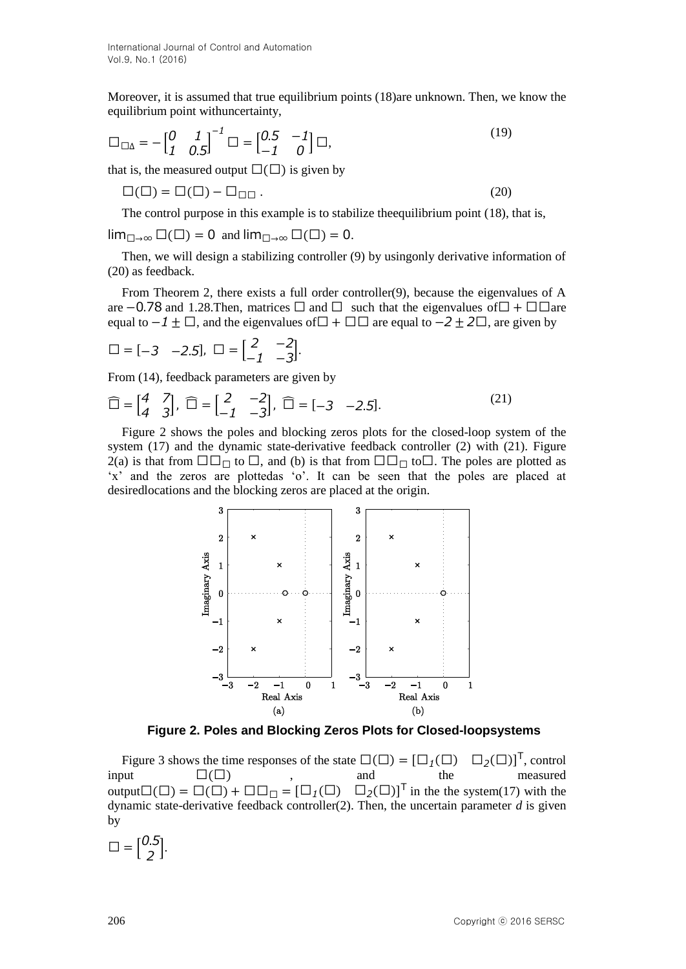Moreover, it is assumed that true equilibrium points (18)are unknown. Then, we know the equilibrium point withuncertainty,

$$
\Box_{\Box\Delta} = -\begin{bmatrix} 0 & 1 \\ 1 & 0.5 \end{bmatrix}^{-1} \Box = \begin{bmatrix} 0.5 & -1 \\ -1 & 0 \end{bmatrix} \Box,
$$
\n(19)

that is, the measured output  $\square(\square)$  is given by

$$
\Box(\Box) = \Box(\Box) - \Box_{\Box\Box}.
$$
\n(20)

The control purpose in this example is to stabilize theequilibrium point (18), that is,

$$
\lim_{\square \to \infty} \square(\square) = 0
$$
 and  $\lim_{\square \to \infty} \square(\square) = 0$ .

Then, we will design a stabilizing controller (9) by usingonly derivative information of (20) as feedback.

From Theorem 2, there exists a full order controller(9), because the eigenvalues of A are  $-0.78$  and 1.28.Then, matrices  $\Box$  and  $\Box$  such that the eigenvalues of  $\Box$  +  $\Box$   $\Box$  are equal to  $-1 \pm \square$ , and the eigenvalues of  $\square + \square \square$  are equal to  $-2 \pm 2\square$ , are given by

$$
\Box = [-3 \ -2.5], \ \Box = \begin{bmatrix} 2 & -2 \\ -1 & -3 \end{bmatrix}.
$$

From (14), feedback parameters are given by

$$
\widehat{\Box} = \begin{bmatrix} 4 & 7 \\ 4 & 3 \end{bmatrix}, \widehat{\Box} = \begin{bmatrix} 2 & -2 \\ -1 & -3 \end{bmatrix}, \widehat{\Box} = \begin{bmatrix} -3 & -2.5 \end{bmatrix}.
$$
 (21)

Figure 2 shows the poles and blocking zeros plots for the closed-loop system of the system (17) and the dynamic state-derivative feedback controller (2) with (21). Figure 2(a) is that from  $\Box \Box \Box$  to  $\Box$ , and (b) is that from  $\Box \Box \Box$  to  $\Box$ . The poles are plotted as "x" and the zeros are plottedas "o". It can be seen that the poles are placed at desiredlocations and the blocking zeros are placed at the origin.



**Figure 2. Poles and Blocking Zeros Plots for Closed-loopsystems**

Figure 3 shows the time responses of the state  $\square(\square) = \square_1$  $(\square)$ <sup>T</sup>, control input  $\square(\square)$ , and the measured output $\Box(\Box) = \Box(\Box) + \Box \Box_{\Box} = [\Box_1(\Box) \quad \Box_2(\Box)]^T$  in the the system(17) with the dynamic state-derivative feedback controller(2). Then, the uncertain parameter *d* is given by

 $\square = \begin{bmatrix} 0 \\ 0 \end{bmatrix}$ ,...<br>2 |·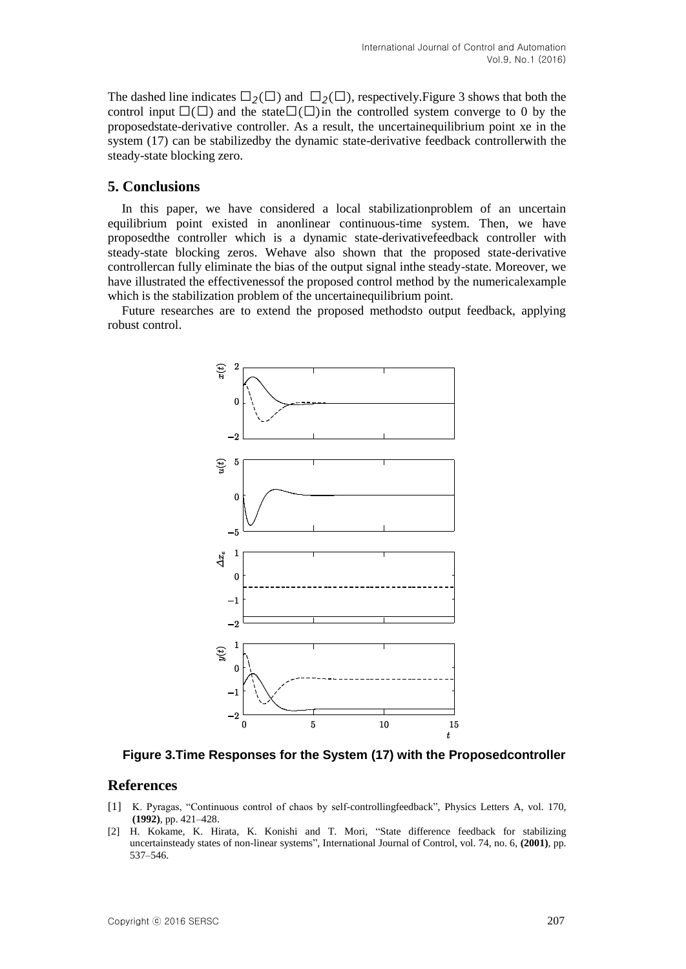The dashed line indicates  $\Box_2(\Box)$  and  $\Box_2(\Box)$ , respectively. Figure 3 shows that both the control input  $\square(\square)$  and the state  $\square(\square)$  in the controlled system converge to 0 by the proposedstate-derivative controller. As a result, the uncertainequilibrium point xe in the system (17) can be stabilizedby the dynamic state-derivative feedback controllerwith the steady-state blocking zero.

# **5. Conclusions**

In this paper, we have considered a local stabilizationproblem of an uncertain equilibrium point existed in anonlinear continuous-time system. Then, we have proposedthe controller which is a dynamic state-derivativefeedback controller with steady-state blocking zeros. Wehave also shown that the proposed state-derivative controllercan fully eliminate the bias of the output signal inthe steady-state. Moreover, we have illustrated the effectivenessof the proposed control method by the numericalexample which is the stabilization problem of the uncertainequilibrium point.

Future researches are to extend the proposed methodsto output feedback, applying robust control.



**Figure 3.Time Responses for the System (17) with the Proposedcontroller**

## **References**

- [1] K. Pyragas, "Continuous control of chaos by self-controllingfeedback", Physics Letters A, vol. 170, **(1992)**, pp. 421–428.
- [2] H. Kokame, K. Hirata, K. Konishi and T. Mori, "State difference feedback for stabilizing uncertainsteady states of non-linear systems", International Journal of Control, vol. 74, no. 6, **(2001)**, pp. 537–546.